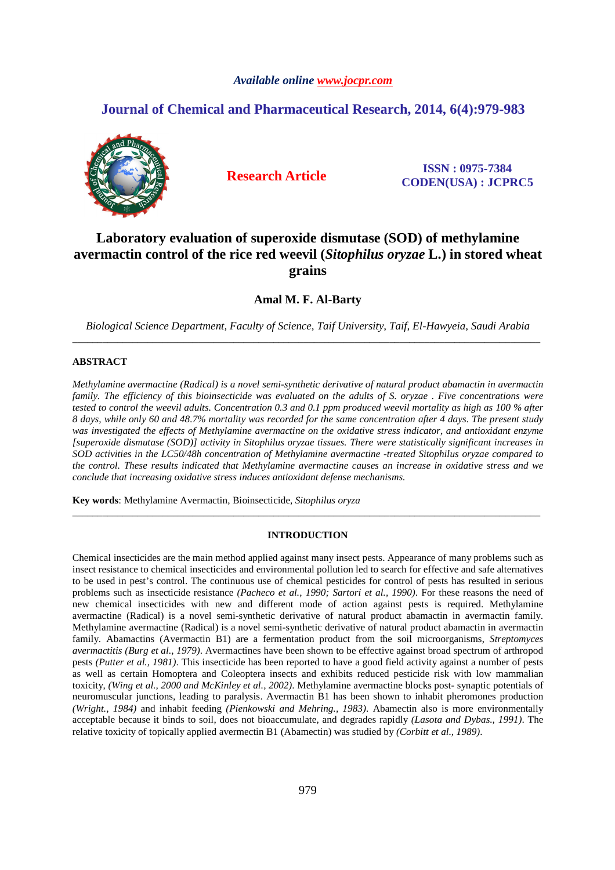# *Available online www.jocpr.com*

# **Journal of Chemical and Pharmaceutical Research, 2014, 6(4):979-983**



**Research Article ISSN : 0975-7384 CODEN(USA) : JCPRC5**

# **Laboratory evaluation of superoxide dismutase (SOD) of methylamine avermactin control of the rice red weevil (***Sitophilus oryzae* **L.) in stored wheat grains**

**Amal M. F. Al-Barty**

*Biological Science Department, Faculty of Science, Taif University, Taif, El-Hawyeia, Saudi Arabia*  \_\_\_\_\_\_\_\_\_\_\_\_\_\_\_\_\_\_\_\_\_\_\_\_\_\_\_\_\_\_\_\_\_\_\_\_\_\_\_\_\_\_\_\_\_\_\_\_\_\_\_\_\_\_\_\_\_\_\_\_\_\_\_\_\_\_\_\_\_\_\_\_\_\_\_\_\_\_\_\_\_\_\_\_\_\_\_\_\_\_\_\_\_

# **ABSTRACT**

*Methylamine avermactine (Radical) is a novel semi-synthetic derivative of natural product abamactin in avermactin family. The efficiency of this bioinsecticide was evaluated on the adults of S. oryzae . Five concentrations were tested to control the weevil adults. Concentration 0.3 and 0.1 ppm produced weevil mortality as high as 100 % after 8 days, while only 60 and 48.7% mortality was recorded for the same concentration after 4 days. The present study was investigated the effects of Methylamine avermactine on the oxidative stress indicator, and antioxidant enzyme [superoxide dismutase (SOD)] activity in Sitophilus oryzae tissues. There were statistically significant increases in SOD activities in the LC50/48h concentration of Methylamine avermactine -treated Sitophilus oryzae compared to the control. These results indicated that Methylamine avermactine causes an increase in oxidative stress and we conclude that increasing oxidative stress induces antioxidant defense mechanisms.* 

**Key words**: Methylamine Avermactin, Bioinsecticide, *Sitophilus oryza* 

# **INTRODUCTION**

\_\_\_\_\_\_\_\_\_\_\_\_\_\_\_\_\_\_\_\_\_\_\_\_\_\_\_\_\_\_\_\_\_\_\_\_\_\_\_\_\_\_\_\_\_\_\_\_\_\_\_\_\_\_\_\_\_\_\_\_\_\_\_\_\_\_\_\_\_\_\_\_\_\_\_\_\_\_\_\_\_\_\_\_\_\_\_\_\_\_\_\_\_

Chemical insecticides are the main method applied against many insect pests. Appearance of many problems such as insect resistance to chemical insecticides and environmental pollution led to search for effective and safe alternatives to be used in pest's control. The continuous use of chemical pesticides for control of pests has resulted in serious problems such as insecticide resistance *(Pacheco et al., 1990; Sartori et al., 1990)*. For these reasons the need of new chemical insecticides with new and different mode of action against pests is required. Methylamine avermactine (Radical) is a novel semi-synthetic derivative of natural product abamactin in avermactin family. Methylamine avermactine (Radical) is a novel semi-synthetic derivative of natural product abamactin in avermactin family. Abamactins (Avermactin B1) are a fermentation product from the soil microorganisms, *Streptomyces avermactitis (Burg et al., 1979)*. Avermactines have been shown to be effective against broad spectrum of arthropod pests *(Putter et al., 1981)*. This insecticide has been reported to have a good field activity against a number of pests as well as certain Homoptera and Coleoptera insects and exhibits reduced pesticide risk with low mammalian toxicity, *(Wing et al., 2000 and McKinley et al., 2002)*. Methylamine avermactine blocks post- synaptic potentials of neuromuscular junctions, leading to paralysis. Avermactin B1 has been shown to inhabit pheromones production *(Wright., 1984)* and inhabit feeding *(Pienkowski and Mehring., 1983)*. Abamectin also is more environmentally acceptable because it binds to soil, does not bioaccumulate, and degrades rapidly *(Lasota and Dybas., 1991)*. The relative toxicity of topically applied avermectin B1 (Abamectin) was studied by *(Corbitt et al., 1989)*.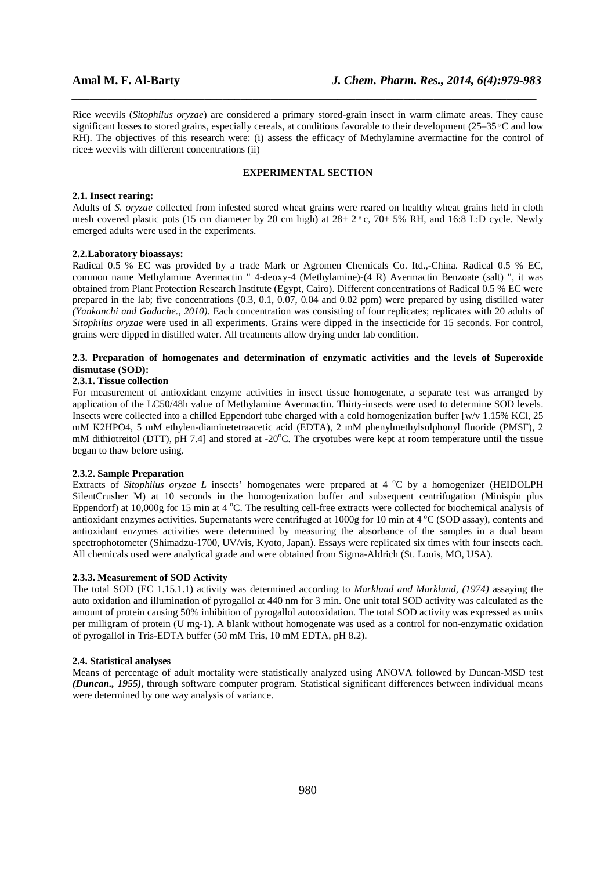Rice weevils (*Sitophilus oryzae*) are considered a primary stored-grain insect in warm climate areas. They cause significant losses to stored grains, especially cereals, at conditions favorable to their development  $(25-35)$ <sup>o</sup>C and low RH). The objectives of this research were: (i) assess the efficacy of Methylamine avermactine for the control of rice± weevils with different concentrations (ii)

*\_\_\_\_\_\_\_\_\_\_\_\_\_\_\_\_\_\_\_\_\_\_\_\_\_\_\_\_\_\_\_\_\_\_\_\_\_\_\_\_\_\_\_\_\_\_\_\_\_\_\_\_\_\_\_\_\_\_\_\_\_\_\_\_\_\_\_\_\_\_\_\_\_\_\_\_\_*

## **EXPERIMENTAL SECTION**

#### **2.1. Insect rearing:**

Adults of *S. oryzae* collected from infested stored wheat grains were reared on healthy wheat grains held in cloth mesh covered plastic pots (15 cm diameter by 20 cm high) at  $28 \pm 2 \degree$  c,  $70 \pm 5\%$  RH, and 16:8 L:D cycle. Newly emerged adults were used in the experiments.

#### **2.2.Laboratory bioassays:**

Radical 0.5 % EC was provided by a trade Mark or Agromen Chemicals Co. Itd.,-China. Radical 0.5 % EC, common name Methylamine Avermactin " 4-deoxy-4 (Methylamine)-(4 R) Avermactin Benzoate (salt) ", it was obtained from Plant Protection Research Institute (Egypt, Cairo). Different concentrations of Radical 0.5 % EC were prepared in the lab; five concentrations (0.3, 0.1, 0.07, 0.04 and 0.02 ppm) were prepared by using distilled water *(Yankanchi and Gadache., 2010)*. Each concentration was consisting of four replicates; replicates with 20 adults of *Sitophilus oryzae* were used in all experiments. Grains were dipped in the insecticide for 15 seconds. For control, grains were dipped in distilled water. All treatments allow drying under lab condition.

# **2.3. Preparation of homogenates and determination of enzymatic activities and the levels of Superoxide dismutase (SOD):**

# **2.3.1. Tissue collection**

For measurement of antioxidant enzyme activities in insect tissue homogenate, a separate test was arranged by application of the LC50/48h value of Methylamine Avermactin. Thirty-insects were used to determine SOD levels. Insects were collected into a chilled Eppendorf tube charged with a cold homogenization buffer [w/v 1.15% KCl, 25 mM K2HPO4, 5 mM ethylen-diaminetetraacetic acid (EDTA), 2 mM phenylmethylsulphonyl fluoride (PMSF), 2 mM dithiotreitol (DTT), pH 7.4] and stored at  $-20^{\circ}$ C. The cryotubes were kept at room temperature until the tissue began to thaw before using.

## **2.3.2. Sample Preparation**

Extracts of *Sitophilus oryzae L* insects' homogenates were prepared at 4 °C by a homogenizer (HEIDOLPH SilentCrusher M) at 10 seconds in the homogenization buffer and subsequent centrifugation (Minispin plus Eppendorf) at 10,000g for 15 min at 4  $^{\circ}$ C. The resulting cell-free extracts were collected for biochemical analysis of antioxidant enzymes activities. Supernatants were centrifuged at  $1000g$  for 10 min at  $4^{\circ}$ C (SOD assay), contents and antioxidant enzymes activities were determined by measuring the absorbance of the samples in a dual beam spectrophotometer (Shimadzu-1700, UV/vis, Kyoto, Japan). Essays were replicated six times with four insects each. All chemicals used were analytical grade and were obtained from Sigma-Aldrich (St. Louis, MO, USA).

#### **2.3.3. Measurement of SOD Activity**

The total SOD (EC 1.15.1.1) activity was determined according to *Marklund and Marklund, (1974)* assaying the auto oxidation and illumination of pyrogallol at 440 nm for 3 min. One unit total SOD activity was calculated as the amount of protein causing 50% inhibition of pyrogallol autooxidation. The total SOD activity was expressed as units per milligram of protein (U mg-1). A blank without homogenate was used as a control for non-enzymatic oxidation of pyrogallol in Tris-EDTA buffer (50 mM Tris, 10 mM EDTA, pH 8.2).

### **2.4. Statistical analyses**

Means of percentage of adult mortality were statistically analyzed using ANOVA followed by Duncan-MSD test *(Duncan., 1955)***,** through software computer program. Statistical significant differences between individual means were determined by one way analysis of variance.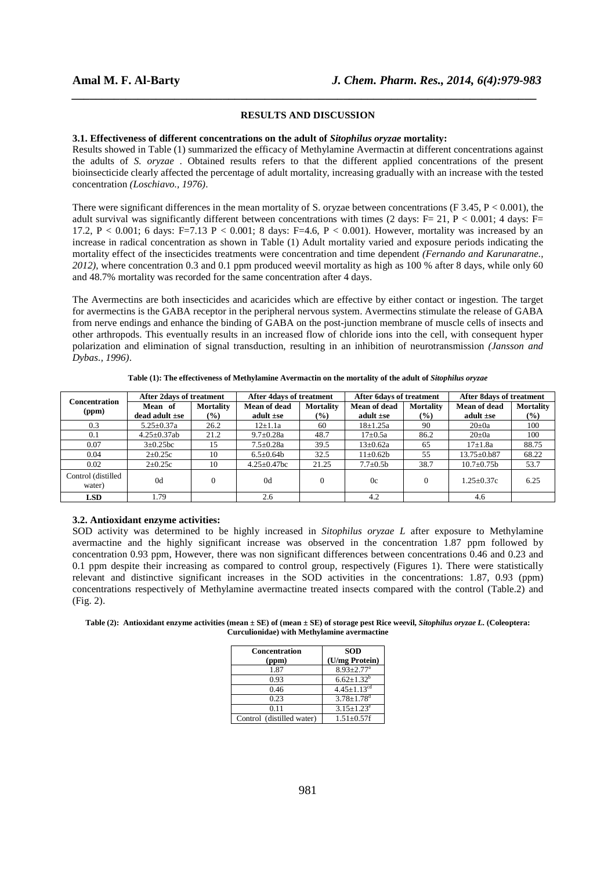### **RESULTS AND DISCUSSION**

*\_\_\_\_\_\_\_\_\_\_\_\_\_\_\_\_\_\_\_\_\_\_\_\_\_\_\_\_\_\_\_\_\_\_\_\_\_\_\_\_\_\_\_\_\_\_\_\_\_\_\_\_\_\_\_\_\_\_\_\_\_\_\_\_\_\_\_\_\_\_\_\_\_\_\_\_\_*

#### **3.1. Effectiveness of different concentrations on the adult of** *Sitophilus oryzae* **mortality:**

Results showed in Table (1) summarized the efficacy of Methylamine Avermactin at different concentrations against the adults of *S. oryzae* . Obtained results refers to that the different applied concentrations of the present bioinsecticide clearly affected the percentage of adult mortality, increasing gradually with an increase with the tested concentration *(Loschiavo., 1976)*.

There were significant differences in the mean mortality of S. oryzae between concentrations (F  $3.45, P < 0.001$ ), the adult survival was significantly different between concentrations with times (2 days: F= 21, P < 0.001; 4 days: F= 17.2, P < 0.001; 6 days: F=7.13 P < 0.001; 8 days: F=4.6, P < 0.001). However, mortality was increased by an increase in radical concentration as shown in Table (1) Adult mortality varied and exposure periods indicating the mortality effect of the insecticides treatments were concentration and time dependent *(Fernando and Karunaratne., 2012)*, where concentration 0.3 and 0.1 ppm produced weevil mortality as high as 100 % after 8 days, while only 60 and 48.7% mortality was recorded for the same concentration after 4 days.

The Avermectins are both insecticides and acaricides which are effective by either contact or ingestion. The target for avermectins is the GABA receptor in the peripheral nervous system. Avermectins stimulate the release of GABA from nerve endings and enhance the binding of GABA on the post-junction membrane of muscle cells of insects and other arthropods. This eventually results in an increased flow of chloride ions into the cell, with consequent hyper polarization and elimination of signal transduction, resulting in an inhibition of neurotransmission *(Jansson and Dybas., 1996)*.

| Concentration<br>(ppm)       | After 2 days of treatment |                              | <b>After 4days of treatment</b> |                  | <b>After 6days of treatment</b> |                  | After 8 days of treatment |                  |
|------------------------------|---------------------------|------------------------------|---------------------------------|------------------|---------------------------------|------------------|---------------------------|------------------|
|                              | Mean of                   | Mortality                    | <b>Mean of dead</b>             | <b>Mortality</b> | Mean of dead                    | <b>Mortality</b> | <b>Mean of dead</b>       | <b>Mortality</b> |
|                              | $dead$ adult $\pm$ se     | $\left( \frac{9}{6} \right)$ | adult $\pm$ se                  | $(\%)$           | adult $\pm$ se                  | $\frac{9}{6}$    | adult $\pm$ se            | $(\%)$           |
| 0.3                          | $5.25 \pm 0.37a$          | 26.2                         | $12 \pm 1.1a$                   | 60               | $18 \pm 1.25a$                  | 90               | $20\pm 0a$                | 100              |
| 0.1                          | $4.25 \pm 0.37$ ab        | 21.2                         | $9.7 \pm 0.28a$                 | 48.7             | $17 \pm 0.5a$                   | 86.2             | $20\pm 0a$                | 100              |
| 0.07                         | $3\pm 0.25$ bc            | 15                           | $7.5 \pm 0.28a$                 | 39.5             | $13 \pm 0.62a$                  | 65               | $17 + 1.8a$               | 88.75            |
| 0.04                         | $2\pm 0.25c$              | 10                           | $6.5 \pm 0.64$                  | 32.5             | $11\pm0.62b$                    | 55               | $13.75 \pm 0.687$         | 68.22            |
| 0.02                         | $2\pm 0.25c$              | 10                           | $4.25 \pm 0.47$ bc              | 21.25            | $7.7 \pm 0.5$ b                 | 38.7             | $10.7 \pm 0.75b$          | 53.7             |
| Control (distilled<br>water) | 0d                        |                              | 0 <sub>d</sub>                  | $\Omega$         | 0c                              | $\Omega$         | $1.25 + 0.37c$            | 6.25             |
| <b>LSD</b>                   | 1.79                      |                              | 2.6                             |                  | 4.2                             |                  | 4.6                       |                  |

**Table (1): The effectiveness of Methylamine Avermactin on the mortality of the adult of** *Sitophilus oryzae*

### **3.2. Antioxidant enzyme activities:**

SOD activity was determined to be highly increased in *Sitophilus oryzae L* after exposure to Methylamine avermactine and the highly significant increase was observed in the concentration 1.87 ppm followed by concentration 0.93 ppm, However, there was non significant differences between concentrations 0.46 and 0.23 and 0.1 ppm despite their increasing as compared to control group, respectively (Figures 1). There were statistically relevant and distinctive significant increases in the SOD activities in the concentrations: 1.87, 0.93 (ppm) concentrations respectively of Methylamine avermactine treated insects compared with the control (Table.2) and (Fig. 2).

**Table (2): Antioxidant enzyme activities (mean ± SE) of (mean ± SE) of storage pest Rice weevil,** *Sitophilus oryzae L.* **(Coleoptera: Curculionidae) with Methylamine avermactine** 

| <b>Concentration</b><br>(ppm) | <b>SOD</b><br>(U/mg Protein)  |  |  |  |
|-------------------------------|-------------------------------|--|--|--|
| 1.87                          | $8.93 \pm 2.77$ <sup>a</sup>  |  |  |  |
| 0.93                          | $6.62 \pm 1.32^b$             |  |  |  |
| 0.46                          | $4.45 \pm 1.13$ <sup>cd</sup> |  |  |  |
| 0.23                          | $3.78 \pm 1.78$ <sup>d</sup>  |  |  |  |
| 0.11                          | $3.15 \pm 1.23^e$             |  |  |  |
| Control (distilled water)     | $1.51 \pm 0.57$ f             |  |  |  |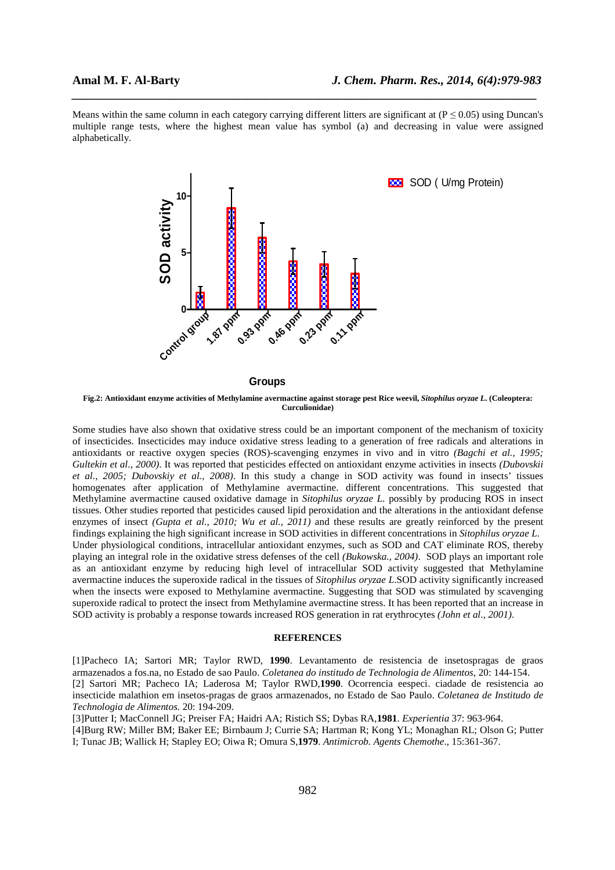Means within the same column in each category carrying different litters are significant at  $(P \le 0.05)$  using Duncan's multiple range tests, where the highest mean value has symbol (a) and decreasing in value were assigned alphabetically.

*\_\_\_\_\_\_\_\_\_\_\_\_\_\_\_\_\_\_\_\_\_\_\_\_\_\_\_\_\_\_\_\_\_\_\_\_\_\_\_\_\_\_\_\_\_\_\_\_\_\_\_\_\_\_\_\_\_\_\_\_\_\_\_\_\_\_\_\_\_\_\_\_\_\_\_\_\_*



**Groups**

**Fig.2: Antioxidant enzyme activities of Methylamine avermactine against storage pest Rice weevil,** *Sitophilus oryzae L.* **(Coleoptera: Curculionidae)** 

Some studies have also shown that oxidative stress could be an important component of the mechanism of toxicity of insecticides. Insecticides may induce oxidative stress leading to a generation of free radicals and alterations in antioxidants or reactive oxygen species (ROS)-scavenging enzymes in vivo and in vitro *(Bagchi et al., 1995; Gultekin et al., 2000)*. It was reported that pesticides effected on antioxidant enzyme activities in insects *(Dubovskii et al., 2005; Dubovskiy et al., 2008)*. In this study a change in SOD activity was found in insects' tissues homogenates after application of Methylamine avermactine. different concentrations. This suggested that Methylamine avermactine caused oxidative damage in *Sitophilus oryzae L.* possibly by producing ROS in insect tissues. Other studies reported that pesticides caused lipid peroxidation and the alterations in the antioxidant defense enzymes of insect *(Gupta et al., 2010; Wu et al., 2011)* and these results are greatly reinforced by the present findings explaining the high significant increase in SOD activities in different concentrations in *Sitophilus oryzae L*. Under physiological conditions, intracellular antioxidant enzymes, such as SOD and CAT eliminate ROS, thereby playing an integral role in the oxidative stress defenses of the cell *(Bukowska., 2004)*. SOD plays an important role as an antioxidant enzyme by reducing high level of intracellular SOD activity suggested that Methylamine avermactine induces the superoxide radical in the tissues of *Sitophilus oryzae L*.SOD activity significantly increased when the insects were exposed to Methylamine avermactine. Suggesting that SOD was stimulated by scavenging superoxide radical to protect the insect from Methylamine avermactine stress. It has been reported that an increase in SOD activity is probably a response towards increased ROS generation in rat erythrocytes *(John et al., 2001)*.

# **REFERENCES**

[1]Pacheco IA; Sartori MR; Taylor RWD, **1990**. Levantamento de resistencia de insetospragas de graos armazenados a fos.na, no Estado de sao Paulo. *Coletanea do institudo de Technologia de Alimentos*, 20: 144-154. [2] Sartori MR; Pacheco IA; Laderosa M; Taylor RWD,**1990**. Ocorrencia eespeci. ciadade de resistencia ao insecticide malathion em insetos-pragas de graos armazenados, no Estado de Sao Paulo. *Coletanea de Institudo de Technologia de Alimentos.* 20: 194-209.

[3]Putter I; MacConnell JG; Preiser FA; Haidri AA; Ristich SS; Dybas RA,**1981**. *Experientia* 37: 963-964.

[4]Burg RW; Miller BM; Baker EE; Birnbaum J; Currie SA; Hartman R; Kong YL; Monaghan RL; Olson G; Putter I; Tunac JB; Wallick H; Stapley EO; Oiwa R; Omura S,**1979**. *Antimicrob. Agents Chemothe*., 15:361-367.